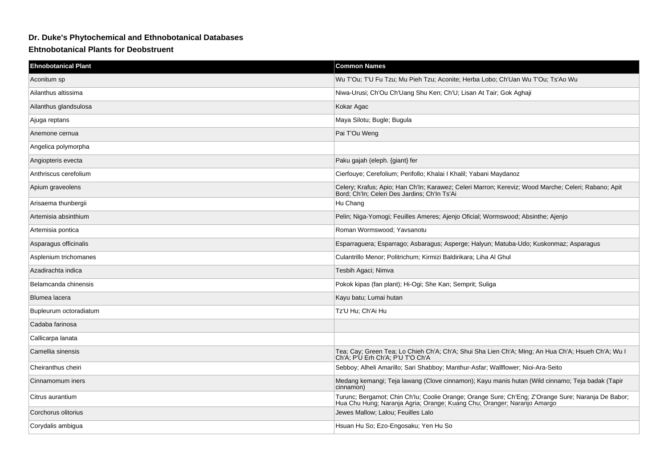## **Dr. Duke's Phytochemical and Ethnobotanical Databases**

## **Ehtnobotanical Plants for Deobstruent**

| <b>Ehnobotanical Plant</b> | <b>Common Names</b>                                                                                                                                                           |
|----------------------------|-------------------------------------------------------------------------------------------------------------------------------------------------------------------------------|
| Aconitum sp                | Wu T'Ou; T'U Fu Tzu; Mu Pieh Tzu; Aconite; Herba Lobo; Ch'Uan Wu T'Ou; Ts'Ao Wu                                                                                               |
| Ailanthus altissima        | Niwa-Urusi; Ch'Ou Ch'Uang Shu Ken; Ch'U; Lisan At Tair; Gok Aghaji                                                                                                            |
| Ailanthus glandsulosa      | Kokar Agac                                                                                                                                                                    |
| Ajuga reptans              | Maya Silotu; Bugle; Bugula                                                                                                                                                    |
| Anemone cernua             | Pai T'Ou Weng                                                                                                                                                                 |
| Angelica polymorpha        |                                                                                                                                                                               |
| Angiopteris evecta         | Paku gajah (eleph. {giant} fer                                                                                                                                                |
| Anthriscus cerefolium      | Cierfouye: Cerefolium: Perifollo: Khalai I Khalil: Yabani Maydanoz                                                                                                            |
| Apium graveolens           | Celery; Krafus; Apio; Han Ch'In; Karawez; Celeri Marron; Kereviz; Wood Marche; Celeri; Rabano; Apit<br>Bord; Ch'In; Celeri Des Jardins; Ch'In Ts'Ai                           |
| Arisaema thunbergii        | Hu Chang                                                                                                                                                                      |
| Artemisia absinthium       | Pelin; Niga-Yomogi; Feuilles Ameres; Ajenjo Oficial; Wormswood; Absinthe; Ajenjo                                                                                              |
| Artemisia pontica          | Roman Wormswood; Yavsanotu                                                                                                                                                    |
| Asparagus officinalis      | Esparraguera; Esparrago; Asbaragus; Asperge; Halyun; Matuba-Udo; Kuskonmaz; Asparagus                                                                                         |
| Asplenium trichomanes      | Culantrillo Menor; Politrichum; Kirmizi Baldirikara; Liha Al Ghul                                                                                                             |
| Azadirachta indica         | Tesbih Agaci; Nimva                                                                                                                                                           |
| Belamcanda chinensis       | Pokok kipas (fan plant); Hi-Ogi; She Kan; Semprit; Suliga                                                                                                                     |
| Blumea lacera              | Kayu batu; Lumai hutan                                                                                                                                                        |
| Bupleurum octoradiatum     | Tz'U Hu; Ch'Ai Hu                                                                                                                                                             |
| Cadaba farinosa            |                                                                                                                                                                               |
| Callicarpa lanata          |                                                                                                                                                                               |
| Camellia sinensis          | Tea; Cay; Green Tea; Lo Chieh Ch'A; Ch'A; Shui Sha Lien Ch'A; Ming; An Hua Ch'A; Hsueh Ch'A; Wu I<br>Ch'A; P'U Erh Ch'A; P'U T'O Ch'A                                         |
| Cheiranthus cheiri         | Sebboy; Alheli Amarillo; Sari Shabboy; Manthur-Asfar; Wallflower; Nioi-Ara-Seito                                                                                              |
| Cinnamomum iners           | Medang kemangi; Teja lawang (Clove cinnamon); Kayu manis hutan (Wild cinnamo; Teja badak (Tapir<br>cinnamon)                                                                  |
| Citrus aurantium           | Turunc; Bergamot; Chin Ch'lu; Coolie Orange; Orange Sure; Ch'Eng; Z'Orange Sure; Naranja De Babor;<br>Hua Chu Hung; Naranja Agria; Orange; Kuang Chu; Oranger; Naranjo Amargo |
| Corchorus olitorius        | Jewes Mallow; Lalou; Feuilles Lalo                                                                                                                                            |
| Corydalis ambigua          | Hsuan Hu So; Ezo-Engosaku; Yen Hu So                                                                                                                                          |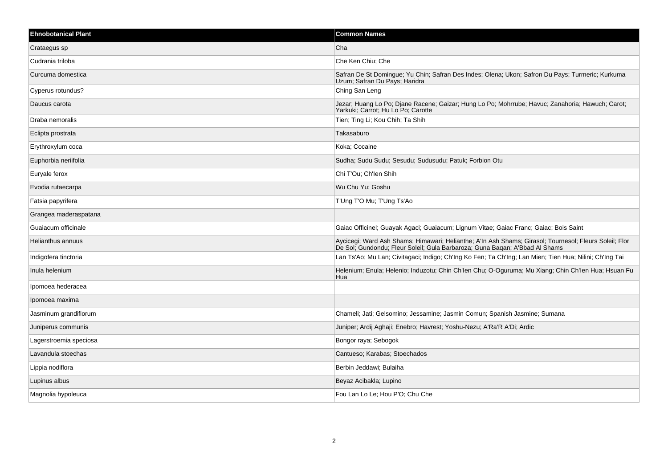| <b>Ehnobotanical Plant</b> | <b>Common Names</b>                                                                                                                                                                |
|----------------------------|------------------------------------------------------------------------------------------------------------------------------------------------------------------------------------|
| Crataegus sp               | Cha                                                                                                                                                                                |
| Cudrania triloba           | Che Ken Chiu; Che                                                                                                                                                                  |
| Curcuma domestica          | Safran De St Domingue; Yu Chin; Safran Des Indes; Olena; Ukon; Safron Du Pays; Turmeric; Kurkuma<br>Uzum; Safran Du Pays; Haridra                                                  |
| Cyperus rotundus?          | Ching San Leng                                                                                                                                                                     |
| Daucus carota              | Jezar; Huang Lo Po; Djane Racene; Gaizar; Hung Lo Po; Mohrrube; Havuc; Zanahoria; Hawuch; Carot;<br>Yarkuki; Carrot; Hu Lo Po; Carotte                                             |
| Draba nemoralis            | Tien; Ting Li; Kou Chih; Ta Shih                                                                                                                                                   |
| Eclipta prostrata          | Takasaburo                                                                                                                                                                         |
| Erythroxylum coca          | Koka; Cocaine                                                                                                                                                                      |
| Euphorbia neriifolia       | Sudha; Sudu Sudu; Sesudu; Sudusudu; Patuk; Forbion Otu                                                                                                                             |
| Euryale ferox              | Chi T'Ou; Ch'len Shih                                                                                                                                                              |
| Evodia rutaecarpa          | Wu Chu Yu; Goshu                                                                                                                                                                   |
| Fatsia papyrifera          | T'Ung T'O Mu; T'Ung Ts'Ao                                                                                                                                                          |
| Grangea maderaspatana      |                                                                                                                                                                                    |
| Guaiacum officinale        | Gaiac Officinel; Guayak Agaci; Guaiacum; Lignum Vitae; Gaiac Franc; Gaiac; Bois Saint                                                                                              |
| Helianthus annuus          | Aycicegi; Ward Ash Shams; Himawari; Helianthe; A'ln Ash Shams; Girasol; Tournesol; Fleurs Soleil; Flor De Sol; Gundondu; Fleur Soleil; Gula Barbaroza; Guna Baqan; A'Bbad Al Shams |
| Indigofera tinctoria       | Lan Ts'Ao; Mu Lan; Civitagaci; Indigo; Ch'Ing Ko Fen; Ta Ch'Ing; Lan Mien; Tien Hua; Nilini; Ch'Ing Tai                                                                            |
| Inula helenium             | Helenium; Enula; Helenio; Induzotu; Chin Ch'len Chu; O-Oguruma; Mu Xiang; Chin Ch'len Hua; Hsuan Fu<br>Hua                                                                         |
| Ipomoea hederacea          |                                                                                                                                                                                    |
| Ipomoea maxima             |                                                                                                                                                                                    |
| Jasminum grandiflorum      | Chameli; Jati; Gelsomino; Jessamine; Jasmin Comun; Spanish Jasmine; Sumana                                                                                                         |
| Juniperus communis         | Juniper; Ardij Aghaji; Enebro; Havrest; Yoshu-Nezu; A'Ra'R A'Di; Ardic                                                                                                             |
| Lagerstroemia speciosa     | Bongor raya; Sebogok                                                                                                                                                               |
| Lavandula stoechas         | Cantueso; Karabas; Stoechados                                                                                                                                                      |
| Lippia nodiflora           | Berbin Jeddawi; Bulaiha                                                                                                                                                            |
| Lupinus albus              | Beyaz Acibakla; Lupino                                                                                                                                                             |
| Magnolia hypoleuca         | Fou Lan Lo Le; Hou P'O; Chu Che                                                                                                                                                    |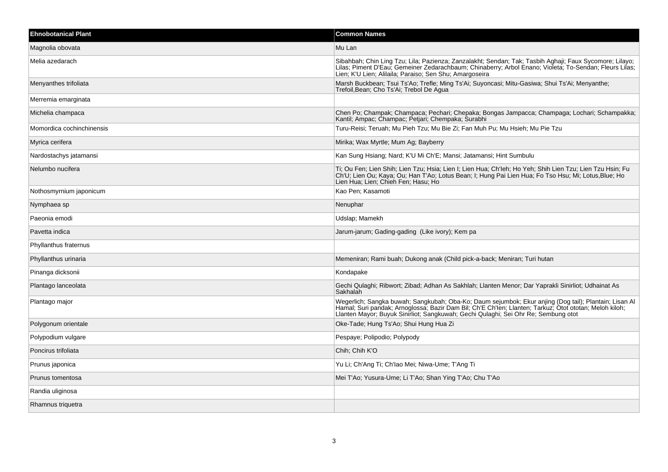| <b>Ehnobotanical Plant</b> | <b>Common Names</b>                                                                                                                                                                                                                                                                                   |
|----------------------------|-------------------------------------------------------------------------------------------------------------------------------------------------------------------------------------------------------------------------------------------------------------------------------------------------------|
| Magnolia obovata           | Mu Lan                                                                                                                                                                                                                                                                                                |
| Melia azedarach            | Sibahbah; Chin Ling Tzu; Lila; Pazienza; Zanzalakht; Sendan; Tak; Tasbih Aghaji; Faux Sycomore; Lilayo;<br>Lilas; Piment D'Eau; Gemeiner Zedarachbaum; Chinaberry; Arbol Enano; Violeta; To-Sendan; Fleurs Lilas;<br>Lien; K'U Lien; Alilaila; Paraiso; Sen Shu; Amargoseira                          |
| Menyanthes trifoliata      | Marsh Buckbean; Tsui Ts'Ao; Trefle; Ming Ts'Ai; Suyoncasi; Mitu-Gasiwa; Shui Ts'Ai; Menyanthe;<br>Trefoil, Bean; Cho Ts'Ai; Trebol De Agua                                                                                                                                                            |
| Merremia emarginata        |                                                                                                                                                                                                                                                                                                       |
| Michelia champaca          | Chen Po; Champak; Champaca; Pechari; Chepaka; Bongas Jampacca; Champaga; Lochari; Schampakka;<br>Kantil; Ampac; Champac; Petjari; Chempaka; Surabhi                                                                                                                                                   |
| Momordica cochinchinensis  | Turu-Reisi; Teruah; Mu Pieh Tzu; Mu Bie Zi; Fan Muh Pu; Mu Hsieh; Mu Pie Tzu                                                                                                                                                                                                                          |
| Myrica cerifera            | Mirika; Wax Myrtle; Mum Ag; Bayberry                                                                                                                                                                                                                                                                  |
| Nardostachys jatamansi     | Kan Sung Hsiang; Nard; K'U Mi Ch'E; Mansi; Jatamansi; Hint Sumbulu                                                                                                                                                                                                                                    |
| Nelumbo nucifera           | Ti; Ou Fen; Lien Shih; Lien Tzu; Hsia; Lien I; Lien Hua; Ch'leh; Ho Yeh; Shih Lien Tzu; Lien Tzu Hsin; Fu<br>Ch'U; Lien Ou; Kaya; Ou; Han T'Ao; Lotus Bean; I; Hung Pai Lien Hua; Fo Tso Hsu; Mi; Lotus, Blue; Ho<br>Lien Hua; Lien; Chieh Fen; Hasu; Ho                                              |
| Nothosmyrnium japonicum    | Kao Pen; Kasamoti                                                                                                                                                                                                                                                                                     |
| Nymphaea sp                | Nenuphar                                                                                                                                                                                                                                                                                              |
| Paeonia emodi              | Udslap; Mamekh                                                                                                                                                                                                                                                                                        |
| Pavetta indica             | Jarum-jarum; Gading-gading (Like ivory); Kem pa                                                                                                                                                                                                                                                       |
| Phyllanthus fraternus      |                                                                                                                                                                                                                                                                                                       |
| Phyllanthus urinaria       | Memeniran; Rami buah; Dukong anak (Child pick-a-back; Meniran; Turi hutan                                                                                                                                                                                                                             |
| Pinanga dicksonii          | Kondapake                                                                                                                                                                                                                                                                                             |
| Plantago lanceolata        | Gechi Qulaghi; Ribwort; Zibad; Adhan As Sakhlah; Llanten Menor; Dar Yaprakli Sinirliot; Udhainat As<br>Sakhalah                                                                                                                                                                                       |
| Plantago major             | Wegerlich; Sangka buwah; Sangkubah; Oba-Ko; Daum sejumbok; Ekur anjing (Dog tail); Plantain; Lisan Al<br>Hamal; Suri pandak; Arnoglossa; Bazir Dam Bil; Ch'E Ch'len; Llanten; Tarkuz; Otot ototan; Meloh kiloh;<br>Llanten Mayor; Buyuk Sinirliot; Sangkuwah; Gechi Qulaghi; Sei Ohr Re; Sembung otot |
| Polygonum orientale        | Oke-Tade; Hung Ts'Ao; Shui Hung Hua Zi                                                                                                                                                                                                                                                                |
| Polypodium vulgare         | Pespaye; Polipodio; Polypody                                                                                                                                                                                                                                                                          |
| Poncirus trifoliata        | Chih; Chih K'O                                                                                                                                                                                                                                                                                        |
| Prunus japonica            | Yu Li: Ch'Ang Ti: Ch'Iao Mei: Niwa-Ume: T'Ang Ti                                                                                                                                                                                                                                                      |
| Prunus tomentosa           | Mei T'Ao; Yusura-Ume; Li T'Ao; Shan Ying T'Ao; Chu T'Ao                                                                                                                                                                                                                                               |
| Randia uliginosa           |                                                                                                                                                                                                                                                                                                       |
| Rhamnus triquetra          |                                                                                                                                                                                                                                                                                                       |